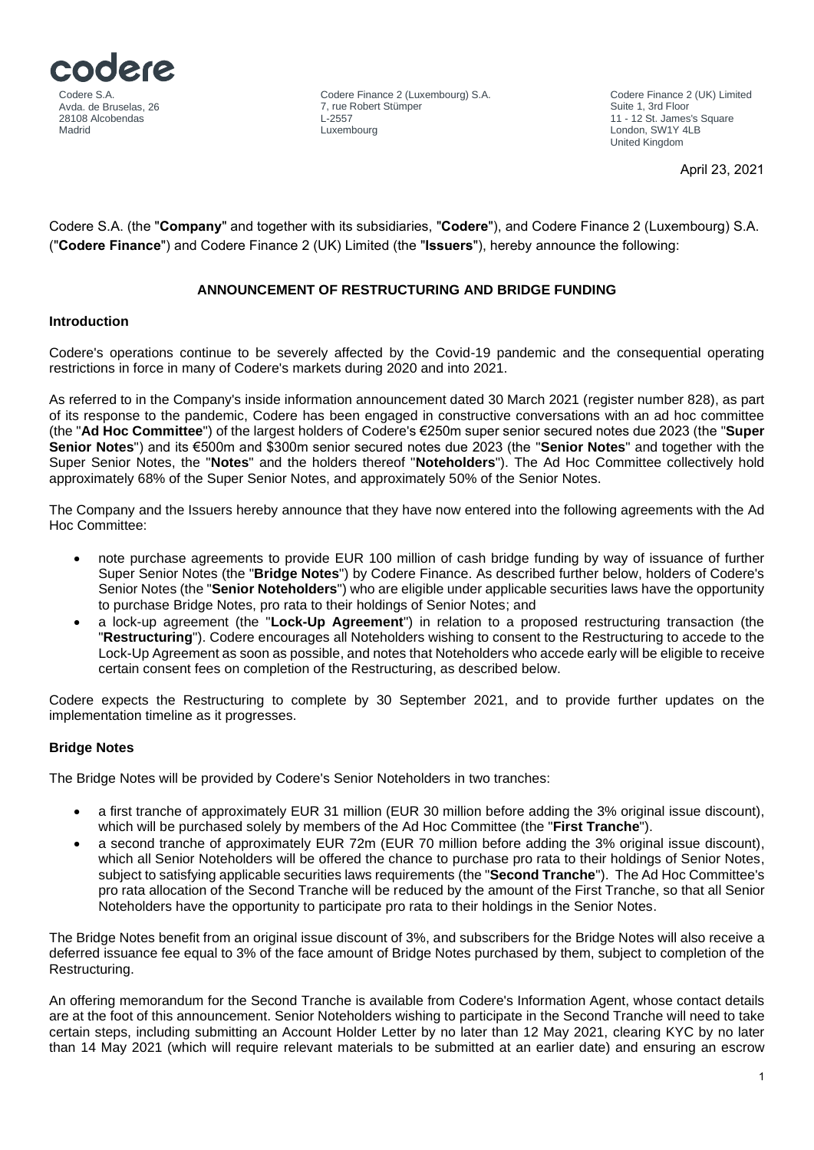

Codere Finance 2 (UK) Limited Suite 1, 3rd Floor 11 - 12 St. James's Square London, SW1Y 4LB United Kingdom

April 23, 2021

Codere S.A. (the "**Company**" and together with its subsidiaries, "**Codere**"), and Codere Finance 2 (Luxembourg) S.A. ("**Codere Finance**") and Codere Finance 2 (UK) Limited (the "**Issuers**"), hereby announce the following:

# **ANNOUNCEMENT OF RESTRUCTURING AND BRIDGE FUNDING**

## **Introduction**

Codere's operations continue to be severely affected by the Covid-19 pandemic and the consequential operating restrictions in force in many of Codere's markets during 2020 and into 2021.

As referred to in the Company's inside information announcement dated 30 March 2021 (register number 828), as part of its response to the pandemic, Codere has been engaged in constructive conversations with an ad hoc committee (the "**Ad Hoc Committee**") of the largest holders of Codere's €250m super senior secured notes due 2023 (the "**Super Senior Notes**") and its €500m and \$300m senior secured notes due 2023 (the "**Senior Notes**" and together with the Super Senior Notes, the "**Notes**" and the holders thereof "**Noteholders**"). The Ad Hoc Committee collectively hold approximately 68% of the Super Senior Notes, and approximately 50% of the Senior Notes.

The Company and the Issuers hereby announce that they have now entered into the following agreements with the Ad Hoc Committee:

- note purchase agreements to provide EUR 100 million of cash bridge funding by way of issuance of further Super Senior Notes (the "**Bridge Notes**") by Codere Finance. As described further below, holders of Codere's Senior Notes (the "**Senior Noteholders**") who are eligible under applicable securities laws have the opportunity to purchase Bridge Notes, pro rata to their holdings of Senior Notes; and
- a lock-up agreement (the "**Lock-Up Agreement**") in relation to a proposed restructuring transaction (the "**Restructuring**"). Codere encourages all Noteholders wishing to consent to the Restructuring to accede to the Lock-Up Agreement as soon as possible, and notes that Noteholders who accede early will be eligible to receive certain consent fees on completion of the Restructuring, as described below.

Codere expects the Restructuring to complete by 30 September 2021, and to provide further updates on the implementation timeline as it progresses.

# **Bridge Notes**

The Bridge Notes will be provided by Codere's Senior Noteholders in two tranches:

- a first tranche of approximately EUR 31 million (EUR 30 million before adding the 3% original issue discount), which will be purchased solely by members of the Ad Hoc Committee (the "**First Tranche**").
- a second tranche of approximately EUR 72m (EUR 70 million before adding the 3% original issue discount), which all Senior Noteholders will be offered the chance to purchase pro rata to their holdings of Senior Notes, subject to satisfying applicable securities laws requirements (the "**Second Tranche**"). The Ad Hoc Committee's pro rata allocation of the Second Tranche will be reduced by the amount of the First Tranche, so that all Senior Noteholders have the opportunity to participate pro rata to their holdings in the Senior Notes.

The Bridge Notes benefit from an original issue discount of 3%, and subscribers for the Bridge Notes will also receive a deferred issuance fee equal to 3% of the face amount of Bridge Notes purchased by them, subject to completion of the Restructuring.

An offering memorandum for the Second Tranche is available from Codere's Information Agent, whose contact details are at the foot of this announcement. Senior Noteholders wishing to participate in the Second Tranche will need to take certain steps, including submitting an Account Holder Letter by no later than 12 May 2021, clearing KYC by no later than 14 May 2021 (which will require relevant materials to be submitted at an earlier date) and ensuring an escrow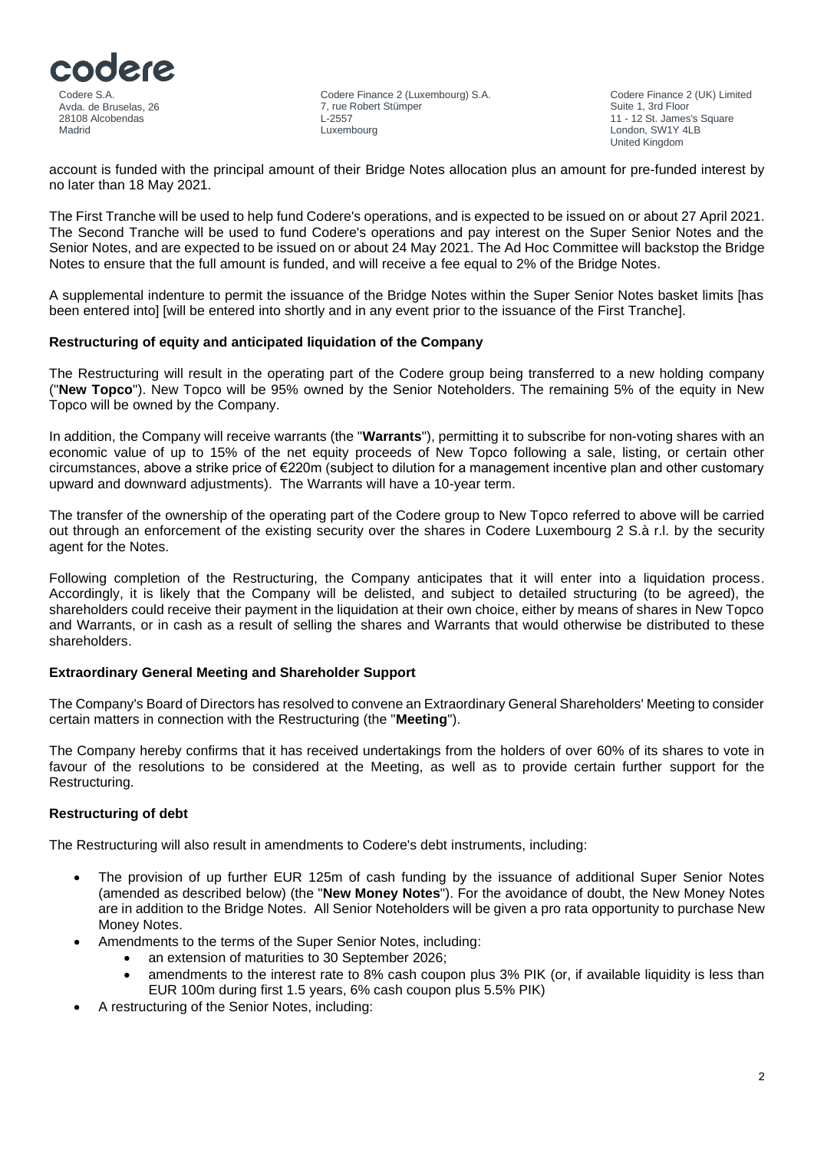

Codere Finance 2 (UK) Limited Suite 1, 3rd Floor 11 - 12 St. James's Square London, SW1Y 4LB United Kingdom

account is funded with the principal amount of their Bridge Notes allocation plus an amount for pre-funded interest by no later than 18 May 2021.

The First Tranche will be used to help fund Codere's operations, and is expected to be issued on or about 27 April 2021. The Second Tranche will be used to fund Codere's operations and pay interest on the Super Senior Notes and the Senior Notes, and are expected to be issued on or about 24 May 2021. The Ad Hoc Committee will backstop the Bridge Notes to ensure that the full amount is funded, and will receive a fee equal to 2% of the Bridge Notes.

A supplemental indenture to permit the issuance of the Bridge Notes within the Super Senior Notes basket limits [has been entered into] [will be entered into shortly and in any event prior to the issuance of the First Tranche].

## **Restructuring of equity and anticipated liquidation of the Company**

The Restructuring will result in the operating part of the Codere group being transferred to a new holding company ("**New Topco**"). New Topco will be 95% owned by the Senior Noteholders. The remaining 5% of the equity in New Topco will be owned by the Company.

In addition, the Company will receive warrants (the "**Warrants**"), permitting it to subscribe for non-voting shares with an economic value of up to 15% of the net equity proceeds of New Topco following a sale, listing, or certain other circumstances, above a strike price of €220m (subject to dilution for a management incentive plan and other customary upward and downward adjustments). The Warrants will have a 10-year term.

The transfer of the ownership of the operating part of the Codere group to New Topco referred to above will be carried out through an enforcement of the existing security over the shares in Codere Luxembourg 2 S.à r.l. by the security agent for the Notes.

Following completion of the Restructuring, the Company anticipates that it will enter into a liquidation process. Accordingly, it is likely that the Company will be delisted, and subject to detailed structuring (to be agreed), the shareholders could receive their payment in the liquidation at their own choice, either by means of shares in New Topco and Warrants, or in cash as a result of selling the shares and Warrants that would otherwise be distributed to these shareholders.

#### **Extraordinary General Meeting and Shareholder Support**

The Company's Board of Directors has resolved to convene an Extraordinary General Shareholders' Meeting to consider certain matters in connection with the Restructuring (the "**Meeting**").

The Company hereby confirms that it has received undertakings from the holders of over 60% of its shares to vote in favour of the resolutions to be considered at the Meeting, as well as to provide certain further support for the Restructuring.

#### **Restructuring of debt**

The Restructuring will also result in amendments to Codere's debt instruments, including:

- The provision of up further EUR 125m of cash funding by the issuance of additional Super Senior Notes (amended as described below) (the "**New Money Notes**"). For the avoidance of doubt, the New Money Notes are in addition to the Bridge Notes. All Senior Noteholders will be given a pro rata opportunity to purchase New Money Notes.
- Amendments to the terms of the Super Senior Notes, including:
	- an extension of maturities to 30 September 2026;
	- amendments to the interest rate to 8% cash coupon plus 3% PIK (or, if available liquidity is less than EUR 100m during first 1.5 years, 6% cash coupon plus 5.5% PIK)
- A restructuring of the Senior Notes, including: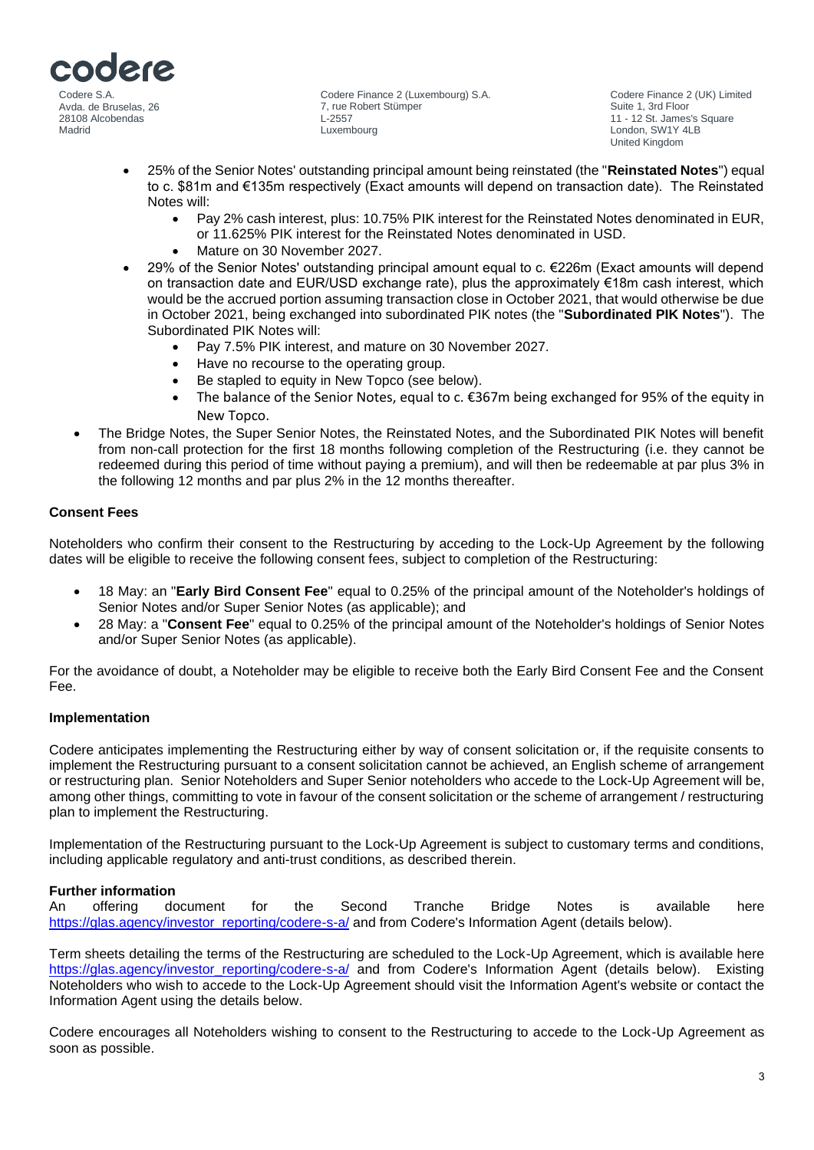

Codere Finance 2 (UK) Limited Suite 1, 3rd Floor 11 - 12 St. James's Square London, SW1Y 4LB United Kingdom

- 25% of the Senior Notes' outstanding principal amount being reinstated (the "**Reinstated Notes**") equal to c. \$81m and €135m respectively (Exact amounts will depend on transaction date). The Reinstated Notes will:
	- Pay 2% cash interest, plus: 10.75% PIK interest for the Reinstated Notes denominated in EUR, or 11.625% PIK interest for the Reinstated Notes denominated in USD.
	- Mature on 30 November 2027.
- 29% of the Senior Notes' outstanding principal amount equal to c. €226m (Exact amounts will depend on transaction date and EUR/USD exchange rate), plus the approximately €18m cash interest, which would be the accrued portion assuming transaction close in October 2021, that would otherwise be due in October 2021, being exchanged into subordinated PIK notes (the "**Subordinated PIK Notes**"). The Subordinated PIK Notes will:
	- Pay 7.5% PIK interest, and mature on 30 November 2027.
	- Have no recourse to the operating group.
	- Be stapled to equity in New Topco (see below).
	- The balance of the Senior Notes, equal to c.  $\epsilon$ 367m being exchanged for 95% of the equity in New Topco.
- The Bridge Notes, the Super Senior Notes, the Reinstated Notes, and the Subordinated PIK Notes will benefit from non-call protection for the first 18 months following completion of the Restructuring (i.e. they cannot be redeemed during this period of time without paying a premium), and will then be redeemable at par plus 3% in the following 12 months and par plus 2% in the 12 months thereafter.

# **Consent Fees**

Noteholders who confirm their consent to the Restructuring by acceding to the Lock-Up Agreement by the following dates will be eligible to receive the following consent fees, subject to completion of the Restructuring:

- 18 May: an "**Early Bird Consent Fee**" equal to 0.25% of the principal amount of the Noteholder's holdings of Senior Notes and/or Super Senior Notes (as applicable); and
- 28 May: a "**Consent Fee**" equal to 0.25% of the principal amount of the Noteholder's holdings of Senior Notes and/or Super Senior Notes (as applicable).

For the avoidance of doubt, a Noteholder may be eligible to receive both the Early Bird Consent Fee and the Consent Fee.

#### **Implementation**

Codere anticipates implementing the Restructuring either by way of consent solicitation or, if the requisite consents to implement the Restructuring pursuant to a consent solicitation cannot be achieved, an English scheme of arrangement or restructuring plan. Senior Noteholders and Super Senior noteholders who accede to the Lock-Up Agreement will be, among other things, committing to vote in favour of the consent solicitation or the scheme of arrangement / restructuring plan to implement the Restructuring.

Implementation of the Restructuring pursuant to the Lock-Up Agreement is subject to customary terms and conditions, including applicable regulatory and anti-trust conditions, as described therein.

#### **Further information**

An offering document for the Second Tranche Bridge Notes is available here [https://glas.agency/investor\\_reporting/codere-s-a/](https://glas.agency/investor_reporting/codere-s-a/) and from Codere's Information Agent (details below).

Term sheets detailing the terms of the Restructuring are scheduled to the Lock-Up Agreement, which is available here [https://glas.agency/investor\\_reporting/codere-s-a/](https://glas.agency/investor_reporting/codere-s-a/) and from Codere's Information Agent (details below). Existing Noteholders who wish to accede to the Lock-Up Agreement should visit the Information Agent's website or contact the Information Agent using the details below.

Codere encourages all Noteholders wishing to consent to the Restructuring to accede to the Lock-Up Agreement as soon as possible.